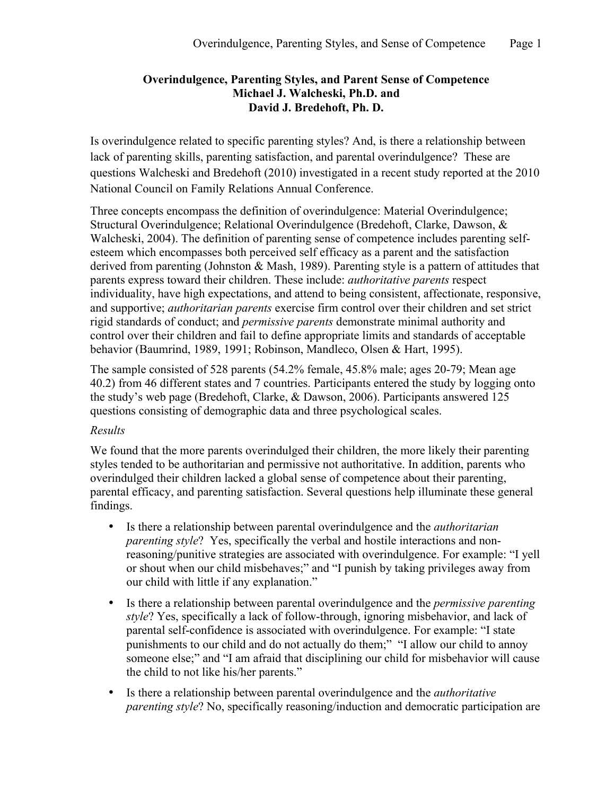## **Overindulgence, Parenting Styles, and Parent Sense of Competence Michael J. Walcheski, Ph.D. and David J. Bredehoft, Ph. D.**

Is overindulgence related to specific parenting styles? And, is there a relationship between lack of parenting skills, parenting satisfaction, and parental overindulgence? These are questions Walcheski and Bredehoft (2010) investigated in a recent study reported at the 2010 National Council on Family Relations Annual Conference.

Three concepts encompass the definition of overindulgence: Material Overindulgence; Structural Overindulgence; Relational Overindulgence (Bredehoft, Clarke, Dawson, & Walcheski, 2004). The definition of parenting sense of competence includes parenting selfesteem which encompasses both perceived self efficacy as a parent and the satisfaction derived from parenting (Johnston & Mash, 1989). Parenting style is a pattern of attitudes that parents express toward their children. These include: *authoritative parents* respect individuality, have high expectations, and attend to being consistent, affectionate, responsive, and supportive; *authoritarian parents* exercise firm control over their children and set strict rigid standards of conduct; and *permissive parents* demonstrate minimal authority and control over their children and fail to define appropriate limits and standards of acceptable behavior (Baumrind, 1989, 1991; Robinson, Mandleco, Olsen & Hart, 1995).

The sample consisted of 528 parents (54.2% female, 45.8% male; ages 20-79; Mean age 40.2) from 46 different states and 7 countries. Participants entered the study by logging onto the study's web page (Bredehoft, Clarke, & Dawson, 2006). Participants answered 125 questions consisting of demographic data and three psychological scales.

## *Results*

We found that the more parents overindulged their children, the more likely their parenting styles tended to be authoritarian and permissive not authoritative. In addition, parents who overindulged their children lacked a global sense of competence about their parenting, parental efficacy, and parenting satisfaction. Several questions help illuminate these general findings.

- Is there a relationship between parental overindulgence and the *authoritarian parenting style*? Yes, specifically the verbal and hostile interactions and nonreasoning/punitive strategies are associated with overindulgence. For example: "I yell or shout when our child misbehaves;" and "I punish by taking privileges away from our child with little if any explanation."
- Is there a relationship between parental overindulgence and the *permissive parenting style*? Yes, specifically a lack of follow-through, ignoring misbehavior, and lack of parental self-confidence is associated with overindulgence. For example: "I state punishments to our child and do not actually do them;" "I allow our child to annoy someone else;" and "I am afraid that disciplining our child for misbehavior will cause the child to not like his/her parents."
- Is there a relationship between parental overindulgence and the *authoritative parenting style*? No, specifically reasoning/induction and democratic participation are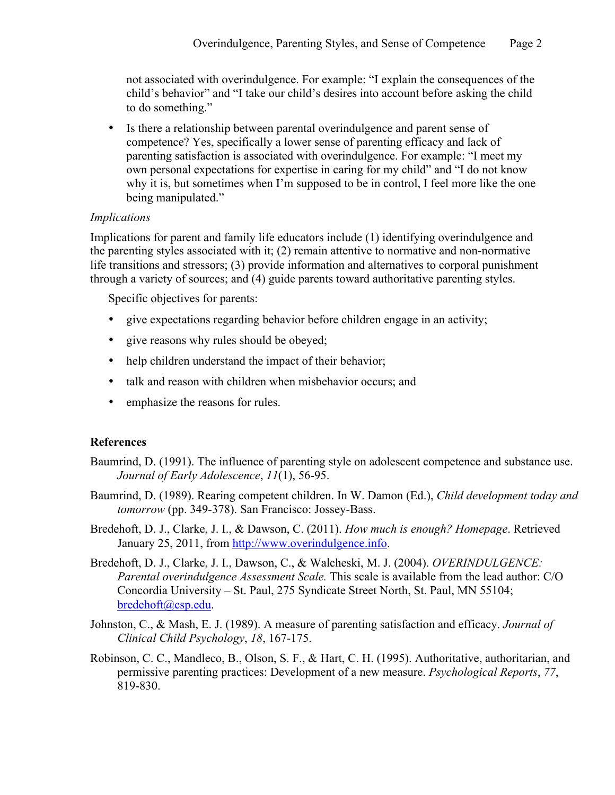not associated with overindulgence. For example: "I explain the consequences of the child's behavior" and "I take our child's desires into account before asking the child to do something."

• Is there a relationship between parental overindulgence and parent sense of competence? Yes, specifically a lower sense of parenting efficacy and lack of parenting satisfaction is associated with overindulgence. For example: "I meet my own personal expectations for expertise in caring for my child" and "I do not know why it is, but sometimes when I'm supposed to be in control, I feel more like the one being manipulated."

## *Implications*

Implications for parent and family life educators include (1) identifying overindulgence and the parenting styles associated with it; (2) remain attentive to normative and non-normative life transitions and stressors; (3) provide information and alternatives to corporal punishment through a variety of sources; and (4) guide parents toward authoritative parenting styles.

Specific objectives for parents:

- give expectations regarding behavior before children engage in an activity;
- give reasons why rules should be obeyed;
- help children understand the impact of their behavior;
- talk and reason with children when misbehavior occurs; and
- emphasize the reasons for rules.

## **References**

- Baumrind, D. (1991). The influence of parenting style on adolescent competence and substance use. *Journal of Early Adolescence*, *11*(1), 56-95.
- Baumrind, D. (1989). Rearing competent children. In W. Damon (Ed.), *Child development today and tomorrow* (pp. 349-378). San Francisco: Jossey-Bass.
- Bredehoft, D. J., Clarke, J. I., & Dawson, C. (2011). *How much is enough? Homepage*. Retrieved January 25, 2011, from http://www.overindulgence.info.
- Bredehoft, D. J., Clarke, J. I., Dawson, C., & Walcheski, M. J. (2004). *OVERINDULGENCE: Parental overindulgence Assessment Scale.* This scale is available from the lead author: C/O Concordia University – St. Paul, 275 Syndicate Street North, St. Paul, MN 55104; bredehoft@csp.edu.
- Johnston, C., & Mash, E. J. (1989). A measure of parenting satisfaction and efficacy. *Journal of Clinical Child Psychology*, *18*, 167-175.
- Robinson, C. C., Mandleco, B., Olson, S. F., & Hart, C. H. (1995). Authoritative, authoritarian, and permissive parenting practices: Development of a new measure. *Psychological Reports*, *77*, 819-830.